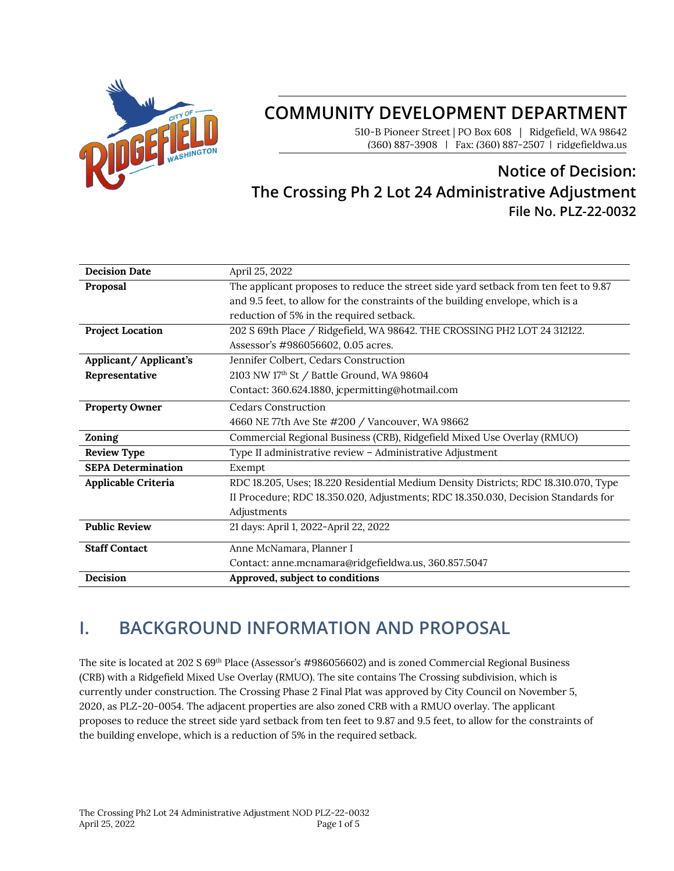

# **COMMUNITY DEVELOPMENT DEPARTMENT**

510-B Pioneer Street | PO Box 608 | Ridgefield, WA 98642 (360) 887-3908 | Fax: (360) 887-2507 | ridgefieldwa.us

## **Notice of Decision: The Crossing Ph 2 Lot 24 Administrative Adjustment File No. PLZ-22-0032**

| <b>Decision Date</b>      | April 25, 2022                                                                      |
|---------------------------|-------------------------------------------------------------------------------------|
| Proposal                  | The applicant proposes to reduce the street side yard setback from ten feet to 9.87 |
|                           | and 9.5 feet, to allow for the constraints of the building envelope, which is a     |
|                           | reduction of 5% in the required setback.                                            |
| <b>Project Location</b>   | 202 S 69th Place / Ridgefield, WA 98642. THE CROSSING PH2 LOT 24 312122.            |
|                           | Assessor's #986056602, 0.05 acres.                                                  |
| Applicant/Applicant's     | Jennifer Colbert, Cedars Construction                                               |
| Representative            | 2103 NW 17th St / Battle Ground, WA 98604                                           |
|                           | Contact: 360.624.1880, jcpermitting@hotmail.com                                     |
| <b>Property Owner</b>     | <b>Cedars Construction</b>                                                          |
|                           | 4660 NE 77th Ave Ste #200 / Vancouver, WA 98662                                     |
| Zoning                    | Commercial Regional Business (CRB), Ridgefield Mixed Use Overlay (RMUO)             |
| <b>Review Type</b>        | Type II administrative review - Administrative Adjustment                           |
| <b>SEPA Determination</b> | Exempt                                                                              |
| Applicable Criteria       | RDC 18.205, Uses; 18.220 Residential Medium Density Districts; RDC 18.310.070, Type |
|                           | II Procedure; RDC 18.350.020, Adjustments; RDC 18.350.030, Decision Standards for   |
|                           | Adjustments                                                                         |
| <b>Public Review</b>      | 21 days: April 1, 2022-April 22, 2022                                               |
| <b>Staff Contact</b>      | Anne McNamara, Planner I                                                            |
|                           | Contact: anne.mcnamara@ridgefieldwa.us, 360.857.5047                                |
| Decision                  | Approved, subject to conditions                                                     |

## **I. BACKGROUND INFORMATION AND PROPOSAL**

The site is located at 202 S 69th Place (Assessor's #986056602) and is zoned Commercial Regional Business (CRB) with a Ridgefield Mixed Use Overlay (RMUO). The site contains The Crossing subdivision, which is currently under construction. The Crossing Phase 2 Final Plat was approved by City Council on November 5, 2020, as PLZ-20-0054. The adjacent properties are also zoned CRB with a RMUO overlay. The applicant proposes to reduce the street side yard setback from ten feet to 9.87 and 9.5 feet, to allow for the constraints of the building envelope, which is a reduction of 5% in the required setback.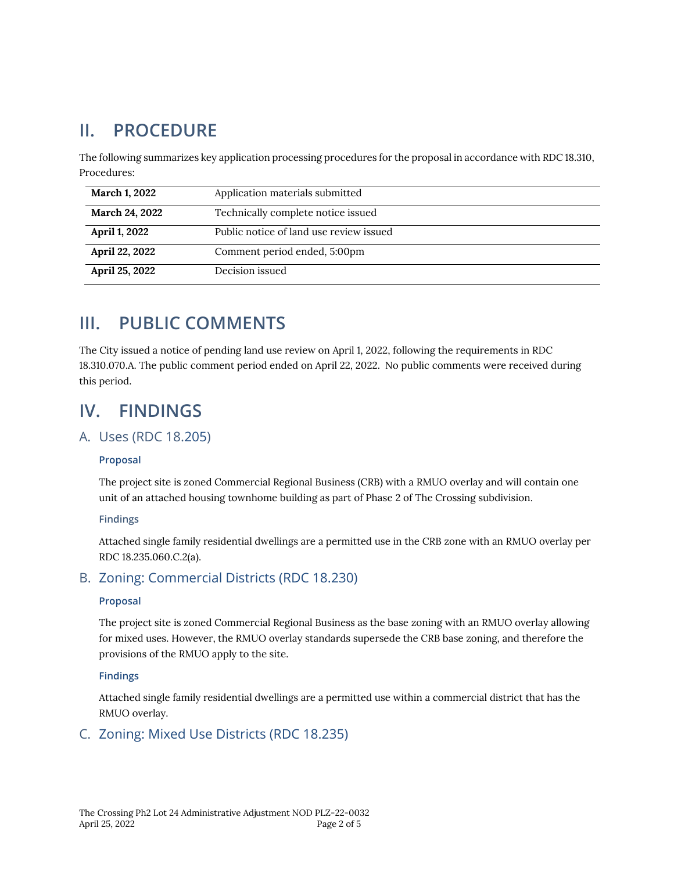# **II. PROCEDURE**

The following summarizes key application processing procedures for the proposal in accordance with RDC 18.310, Procedures:

| <b>March 1, 2022</b>  | Application materials submitted         |
|-----------------------|-----------------------------------------|
| <b>March 24, 2022</b> | Technically complete notice issued      |
| April 1, 2022         | Public notice of land use review issued |
| April 22, 2022        | Comment period ended, 5:00pm            |
| April 25, 2022        | Decision issued                         |

## **III. PUBLIC COMMENTS**

The City issued a notice of pending land use review on April 1, 2022, following the requirements in RDC 18.310.070.A. The public comment period ended on April 22, 2022. No public comments were received during this period.

## **IV. FINDINGS**

### A. Uses (RDC 18.205)

#### **Proposal**

The project site is zoned Commercial Regional Business (CRB) with a RMUO overlay and will contain one unit of an attached housing townhome building as part of Phase 2 of The Crossing subdivision.

#### **Findings**

Attached single family residential dwellings are a permitted use in the CRB zone with an RMUO overlay per RDC 18.235.060.C.2(a).

### B. Zoning: Commercial Districts (RDC 18.230)

#### **Proposal**

The project site is zoned Commercial Regional Business as the base zoning with an RMUO overlay allowing for mixed uses. However, the RMUO overlay standards supersede the CRB base zoning, and therefore the provisions of the RMUO apply to the site.

#### **Findings**

Attached single family residential dwellings are a permitted use within a commercial district that has the RMUO overlay.

### C. Zoning: Mixed Use Districts (RDC 18.235)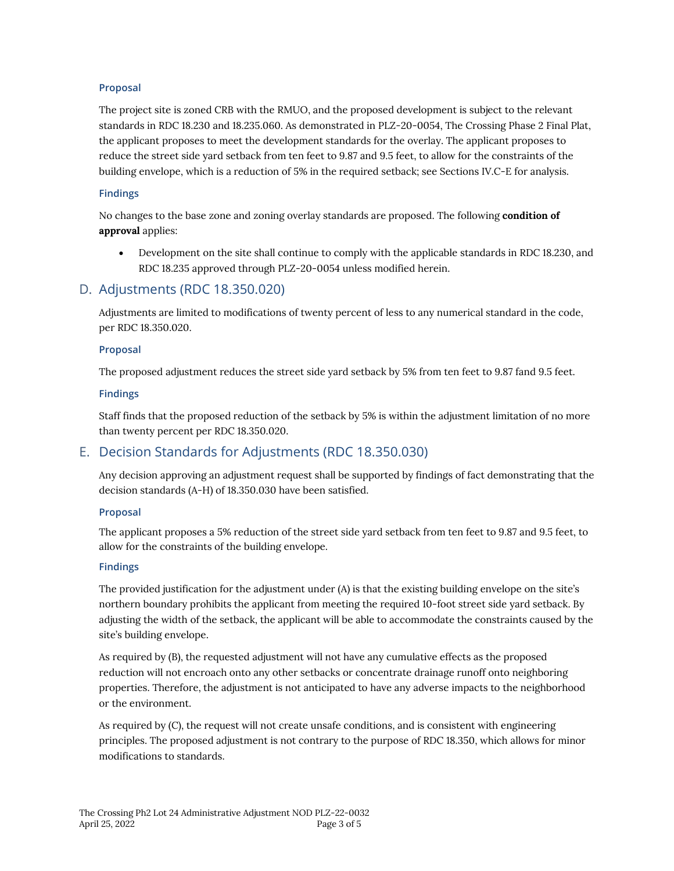#### **Proposal**

The project site is zoned CRB with the RMUO, and the proposed development is subject to the relevant standards in RDC 18.230 and 18.235.060. As demonstrated in PLZ-20-0054, The Crossing Phase 2 Final Plat, the applicant proposes to meet the development standards for the overlay. The applicant proposes to reduce the street side yard setback from ten feet to 9.87 and 9.5 feet, to allow for the constraints of the building envelope, which is a reduction of 5% in the required setback; see Sections IV.C-E for analysis.

#### **Findings**

No changes to the base zone and zoning overlay standards are proposed. The following **condition of approval** applies:

• Development on the site shall continue to comply with the applicable standards in RDC 18.230, and RDC 18.235 approved through PLZ-20-0054 unless modified herein.

### D. Adjustments (RDC 18.350.020)

Adjustments are limited to modifications of twenty percent of less to any numerical standard in the code, per RDC 18.350.020.

#### **Proposal**

The proposed adjustment reduces the street side yard setback by 5% from ten feet to 9.87 fand 9.5 feet.

#### **Findings**

Staff finds that the proposed reduction of the setback by 5% is within the adjustment limitation of no more than twenty percent per RDC 18.350.020.

### E. Decision Standards for Adjustments (RDC 18.350.030)

Any decision approving an adjustment request shall be supported by findings of fact demonstrating that the decision standards (A-H) of 18.350.030 have been satisfied.

#### **Proposal**

The applicant proposes a 5% reduction of the street side yard setback from ten feet to 9.87 and 9.5 feet, to allow for the constraints of the building envelope.

#### **Findings**

The provided justification for the adjustment under (A) is that the existing building envelope on the site's northern boundary prohibits the applicant from meeting the required 10-foot street side yard setback. By adjusting the width of the setback, the applicant will be able to accommodate the constraints caused by the site's building envelope.

As required by (B), the requested adjustment will not have any cumulative effects as the proposed reduction will not encroach onto any other setbacks or concentrate drainage runoff onto neighboring properties. Therefore, the adjustment is not anticipated to have any adverse impacts to the neighborhood or the environment.

As required by (C), the request will not create unsafe conditions, and is consistent with engineering principles. The proposed adjustment is not contrary to the purpose of RDC 18.350, which allows for minor modifications to standards.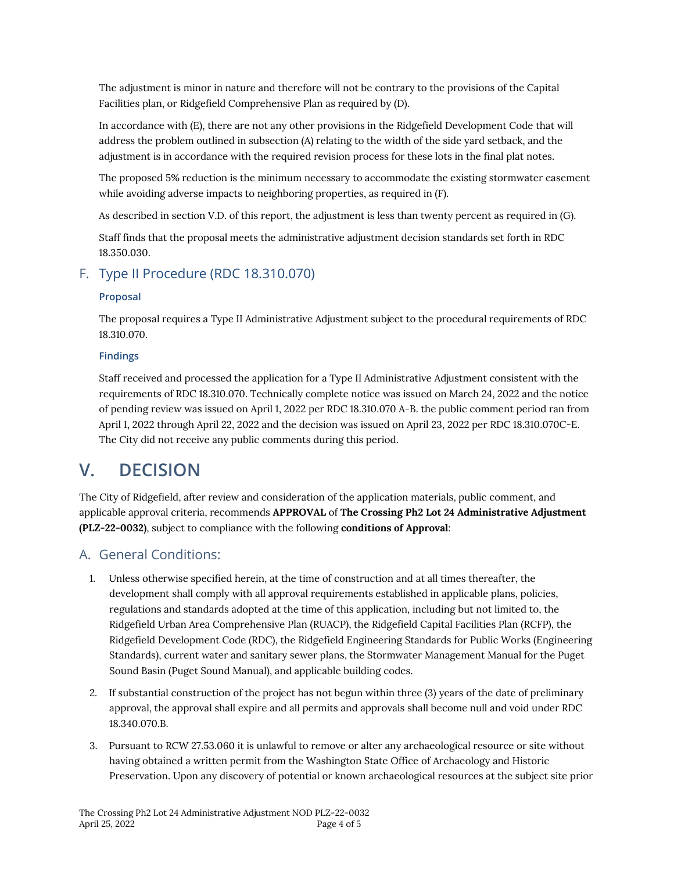The adjustment is minor in nature and therefore will not be contrary to the provisions of the Capital Facilities plan, or Ridgefield Comprehensive Plan as required by (D).

In accordance with (E), there are not any other provisions in the Ridgefield Development Code that will address the problem outlined in subsection (A) relating to the width of the side yard setback, and the adjustment is in accordance with the required revision process for these lots in the final plat notes.

The proposed 5% reduction is the minimum necessary to accommodate the existing stormwater easement while avoiding adverse impacts to neighboring properties, as required in (F).

As described in section V.D. of this report, the adjustment is less than twenty percent as required in (G).

Staff finds that the proposal meets the administrative adjustment decision standards set forth in RDC 18.350.030.

## F. Type II Procedure (RDC 18.310.070)

#### **Proposal**

The proposal requires a Type II Administrative Adjustment subject to the procedural requirements of RDC 18.310.070.

#### **Findings**

Staff received and processed the application for a Type II Administrative Adjustment consistent with the requirements of RDC 18.310.070. Technically complete notice was issued on March 24, 2022 and the notice of pending review was issued on April 1, 2022 per RDC 18.310.070 A-B. the public comment period ran from April 1, 2022 through April 22, 2022 and the decision was issued on April 23, 2022 per RDC 18.310.070C-E. The City did not receive any public comments during this period.

# **V. DECISION**

The City of Ridgefield, after review and consideration of the application materials, public comment, and applicable approval criteria, recommends **APPROVAL** of **The Crossing Ph2 Lot 24 Administrative Adjustment (PLZ-22-0032)**, subject to compliance with the following **conditions of Approval**:

### A. General Conditions:

- 1. Unless otherwise specified herein, at the time of construction and at all times thereafter, the development shall comply with all approval requirements established in applicable plans, policies, regulations and standards adopted at the time of this application, including but not limited to, the Ridgefield Urban Area Comprehensive Plan (RUACP), the Ridgefield Capital Facilities Plan (RCFP), the Ridgefield Development Code (RDC), the Ridgefield Engineering Standards for Public Works (Engineering Standards), current water and sanitary sewer plans, the Stormwater Management Manual for the Puget Sound Basin (Puget Sound Manual), and applicable building codes.
- 2. If substantial construction of the project has not begun within three (3) years of the date of preliminary approval, the approval shall expire and all permits and approvals shall become null and void under RDC 18.340.070.B.
- 3. Pursuant to RCW 27.53.060 it is unlawful to remove or alter any archaeological resource or site without having obtained a written permit from the Washington State Office of Archaeology and Historic Preservation. Upon any discovery of potential or known archaeological resources at the subject site prior